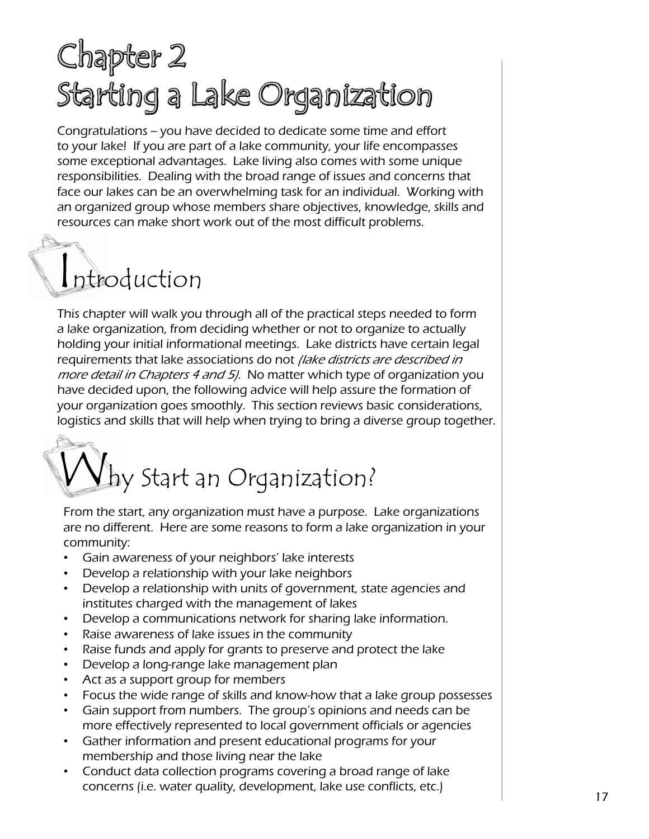### Chapter 2 Starting a Lake Organization

Congratulations -- you have decided to dedicate some time and effort to your lake! If you are part of a lake community, your life encompasses some exceptional advantages. Lake living also comes with some unique responsibilities. Dealing with the broad range of issues and concerns that face our lakes can be an overwhelming task for an individual. Working with an organized group whose members share objectives, knowledge, skills and resources can make short work out of the most difficult problems.

## Introduction

This chapter will walk you through all of the practical steps needed to form a lake organization, from deciding whether or not to organize to actually holding your initial informational meetings. Lake districts have certain legal requirements that lake associations do not *(lake districts are described in* more detail in Chapters 4 and 5. No matter which type of organization you have decided upon, the following advice will help assure the formation of your organization goes smoothly. This section reviews basic considerations, logistics and skills that will help when trying to bring a diverse group together.

# Why Start an Organization?

From the start, any organization must have a purpose. Lake organizations are no different. Here are some reasons to form a lake organization in your community:

- Gain awareness of your neighbors' lake interests
- Develop a relationship with your lake neighbors
- Develop a relationship with units of government, state agencies and institutes charged with the management of lakes
- Develop a communications network for sharing lake information.
- Raise awareness of lake issues in the community
- Raise funds and apply for grants to preserve and protect the lake
- Develop a long-range lake management plan
- Act as a support group for members
- Focus the wide range of skills and know-how that a lake group possesses
- Gain support from numbers. The group's opinions and needs can be more effectively represented to local government officials or agencies
- Gather information and present educational programs for your membership and those living near the lake
- Conduct data collection programs covering a broad range of lake concerns (i.e. water quality, development, lake use conflicts, etc.)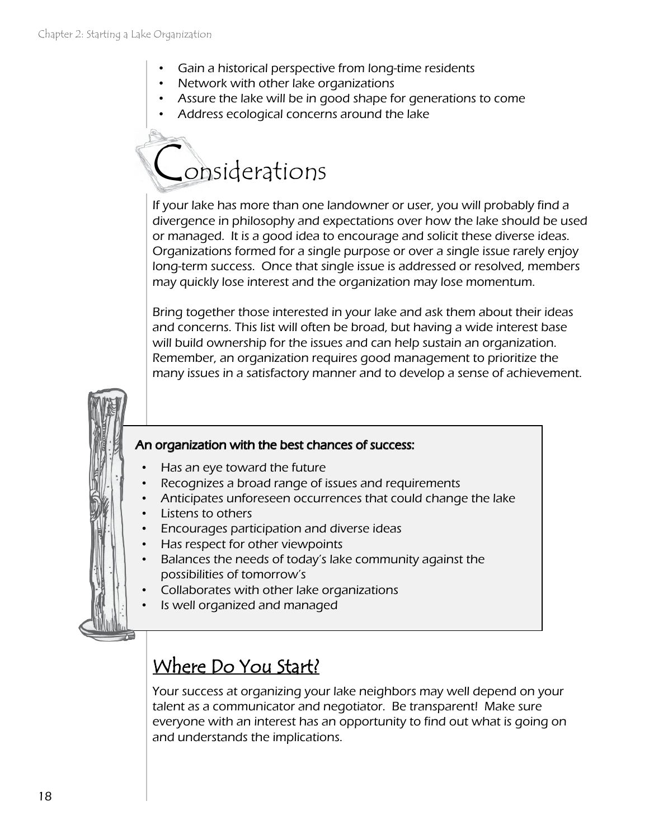- Gain a historical perspective from long-time residents
- Network with other lake organizations
- Assure the lake will be in good shape for generations to come
- Address ecological concerns around the lake

### Considerations

If your lake has more than one landowner or user, you will probably find a divergence in philosophy and expectations over how the lake should be used or managed. It is a good idea to encourage and solicit these diverse ideas. Organizations formed for a single purpose or over a single issue rarely enjoy long-term success. Once that single issue is addressed or resolved, members may quickly lose interest and the organization may lose momentum.

Bring together those interested in your lake and ask them about their ideas and concerns. This list will often be broad, but having a wide interest base will build ownership for the issues and can help sustain an organization. Remember, an organization requires good management to prioritize the many issues in a satisfactory manner and to develop a sense of achievement.

#### An organization with the best chances of success:

- Has an eye toward the future
- Recognizes a broad range of issues and requirements
- Anticipates unforeseen occurrences that could change the lake
- Listens to others
- Encourages participation and diverse ideas
- Has respect for other viewpoints
- Balances the needs of today's lake community against the possibilities of tomorrow's
- Collaborates with other lake organizations
- Is well organized and managed

#### Where Do You Start?

Your success at organizing your lake neighbors may well depend on your talent as a communicator and negotiator. Be transparent! Make sure everyone with an interest has an opportunity to find out what is going on and understands the implications.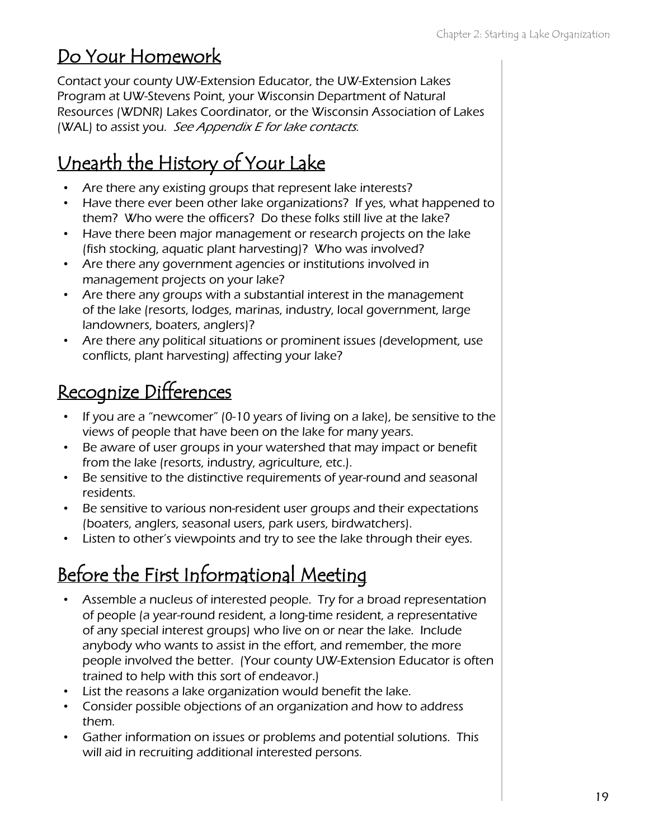#### Do Your Homework

Contact your county UW-Extension Educator, the UW-Extension Lakes Program at UW-Stevens Point, your Wisconsin Department of Natural Resources (WDNR) Lakes Coordinator, or the Wisconsin Association of Lakes (WAL) to assist you. See Appendix E for lake contacts.

#### Unearth the History of Your Lake

- Are there any existing groups that represent lake interests?
- Have there ever been other lake organizations? If yes, what happened to them? Who were the officers? Do these folks still live at the lake?
- Have there been major management or research projects on the lake (fish stocking, aquatic plant harvesting)? Who was involved?
- Are there any government agencies or institutions involved in management projects on your lake?
- Are there any groups with a substantial interest in the management of the lake (resorts, lodges, marinas, industry, local government, large landowners, boaters, anglers)?
- Are there any political situations or prominent issues (development, use conflicts, plant harvesting) affecting your lake?

#### Recognize Differences

- If you are a "newcomer" (0-10 years of living on a lake), be sensitive to the views of people that have been on the lake for many years.
- Be aware of user groups in your watershed that may impact or benefit from the lake (resorts, industry, agriculture, etc.).
- Be sensitive to the distinctive requirements of year-round and seasonal residents.
- Be sensitive to various non-resident user groups and their expectations (boaters, anglers, seasonal users, park users, birdwatchers).
- Listen to other's viewpoints and try to see the lake through their eyes.

### Before the First Informational Meeting

- Assemble a nucleus of interested people. Try for a broad representation of people (a year-round resident, a long-time resident, a representative of any special interest groups) who live on or near the lake. Include anybody who wants to assist in the effort, and remember, the more people involved the better. (Your county UW-Extension Educator is often trained to help with this sort of endeavor.)
- List the reasons a lake organization would benefit the lake.
- Consider possible objections of an organization and how to address them.
- Gather information on issues or problems and potential solutions. This will aid in recruiting additional interested persons.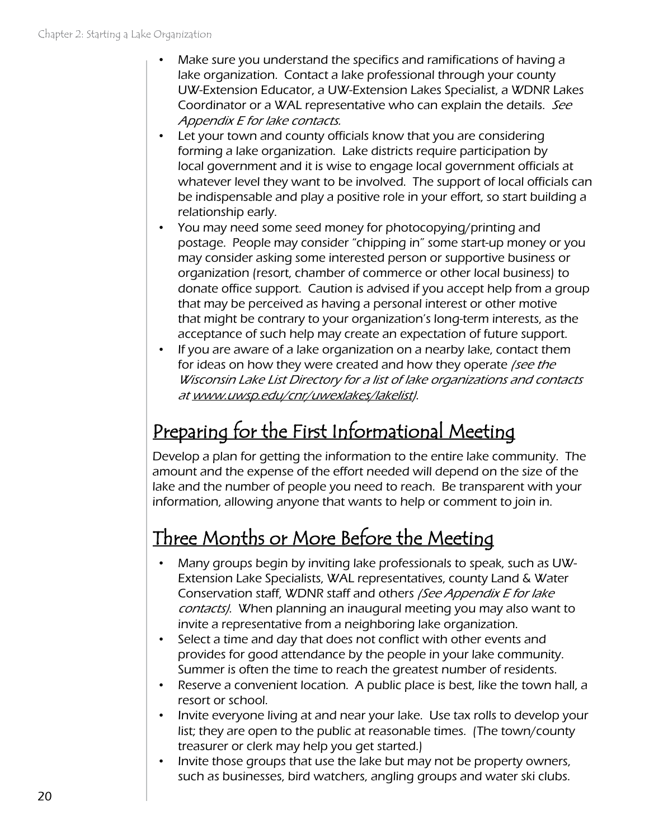- Make sure you understand the specifics and ramifications of having a lake organization. Contact a lake professional through your county UW-Extension Educator, a UW-Extension Lakes Specialist, a WDNR Lakes Coordinator or a WAL representative who can explain the details. See Appendix E for lake contacts.
- Let your town and county officials know that you are considering forming a lake organization. Lake districts require participation by local government and it is wise to engage local government officials at whatever level they want to be involved. The support of local officials can be indispensable and play a positive role in your effort, so start building a relationship early.
- You may need some seed money for photocopying/printing and postage. People may consider "chipping in" some start-up money or you may consider asking some interested person or supportive business or organization (resort, chamber of commerce or other local business) to donate office support. Caution is advised if you accept help from a group that may be perceived as having a personal interest or other motive that might be contrary to your organization's long-term interests, as the acceptance of such help may create an expectation of future support.
- If you are aware of a lake organization on a nearby lake, contact them for ideas on how they were created and how they operate /see the Wisconsin Lake List Directory for a list of lake organizations and contacts at [www.uwsp.edu/cnr/uwexlakes/lakelist\)](http://www.uwsp.edu/cnr/uwexlakes/lakelist).

### Preparing for the First Informational Meeting

Develop a plan for getting the information to the entire lake community. The amount and the expense of the effort needed will depend on the size of the lake and the number of people you need to reach. Be transparent with your information, allowing anyone that wants to help or comment to join in.

#### Three Months or More Before the Meeting

- Many groups begin by inviting lake professionals to speak, such as UW-Extension Lake Specialists, WAL representatives, county Land & Water Conservation staff, WDNR staff and others (See Appendix E for lake contacts). When planning an inaugural meeting you may also want to invite a representative from a neighboring lake organization.
- Select a time and day that does not conflict with other events and provides for good attendance by the people in your lake community. Summer is often the time to reach the greatest number of residents.
- Reserve a convenient location. A public place is best, like the town hall, a resort or school.
- Invite everyone living at and near your lake. Use tax rolls to develop your list; they are open to the public at reasonable times. (The town/county treasurer or clerk may help you get started.)
- Invite those groups that use the lake but may not be property owners, such as businesses, bird watchers, angling groups and water ski clubs.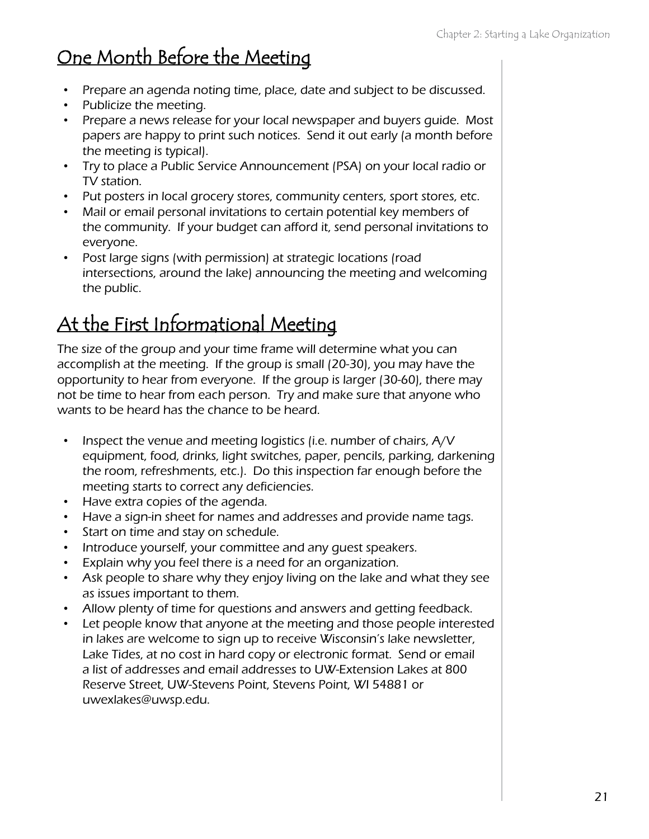#### One Month Before the Meeting

- Prepare an agenda noting time, place, date and subject to be discussed.
- Publicize the meeting.
- Prepare a news release for your local newspaper and buyers guide. Most papers are happy to print such notices. Send it out early (a month before the meeting is typical).
- Try to place a Public Service Announcement (PSA) on your local radio or TV station.
- Put posters in local grocery stores, community centers, sport stores, etc.
- Mail or email personal invitations to certain potential key members of the community. If your budget can afford it, send personal invitations to everyone.
- Post large signs (with permission) at strategic locations (road intersections, around the lake) announcing the meeting and welcoming the public.

#### At the First Informational Meeting

The size of the group and your time frame will determine what you can accomplish at the meeting. If the group is small (20-30), you may have the opportunity to hear from everyone. If the group is larger (30-60), there may not be time to hear from each person. Try and make sure that anyone who wants to be heard has the chance to be heard.

- Inspect the venue and meeting logistics (i.e. number of chairs, A/V equipment, food, drinks, light switches, paper, pencils, parking, darkening the room, refreshments, etc.). Do this inspection far enough before the meeting starts to correct any deficiencies.
- Have extra copies of the agenda.
- Have a sign-in sheet for names and addresses and provide name tags.
- Start on time and stay on schedule.
- Introduce yourself, your committee and any guest speakers.
- Explain why you feel there is a need for an organization.
- Ask people to share why they enjoy living on the lake and what they see as issues important to them.
- Allow plenty of time for questions and answers and getting feedback.
- Let people know that anyone at the meeting and those people interested in lakes are welcome to sign up to receive Wisconsin's lake newsletter, Lake Tides, at no cost in hard copy or electronic format. Send or email a list of addresses and email addresses to UW-Extension Lakes at 800 Reserve Street, UW-Stevens Point, Stevens Point, WI 54881 or uwexlakes@uwsp.edu.